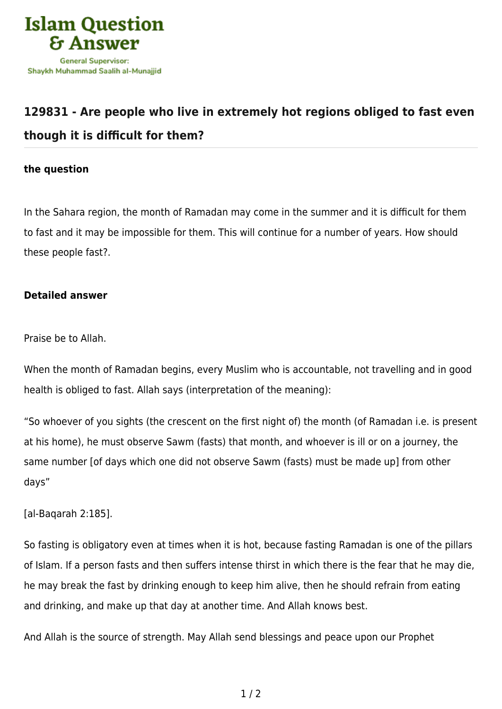

## **[129831 - Are people who live in extremely hot regions obliged to fast even](https://islamqa.com/en/answers/129831/are-people-who-live-in-extremely-hot-regions-obliged-to-fast-even-though-it-is-difficult-for-them) [though it is difficult for them?](https://islamqa.com/en/answers/129831/are-people-who-live-in-extremely-hot-regions-obliged-to-fast-even-though-it-is-difficult-for-them)**

## **the question**

In the Sahara region, the month of Ramadan may come in the summer and it is difficult for them to fast and it may be impossible for them. This will continue for a number of years. How should these people fast?.

## **Detailed answer**

Praise be to Allah.

When the month of Ramadan begins, every Muslim who is accountable, not travelling and in good health is obliged to fast. Allah says (interpretation of the meaning):

"So whoever of you sights (the crescent on the first night of) the month (of Ramadan i.e. is present at his home), he must observe Sawm (fasts) that month, and whoever is ill or on a journey, the same number [of days which one did not observe Sawm (fasts) must be made up] from other days"

[al-Baqarah 2:185].

So fasting is obligatory even at times when it is hot, because fasting Ramadan is one of the pillars of Islam. If a person fasts and then suffers intense thirst in which there is the fear that he may die, he may break the fast by drinking enough to keep him alive, then he should refrain from eating and drinking, and make up that day at another time. And Allah knows best.

And Allah is the source of strength. May Allah send blessings and peace upon our Prophet